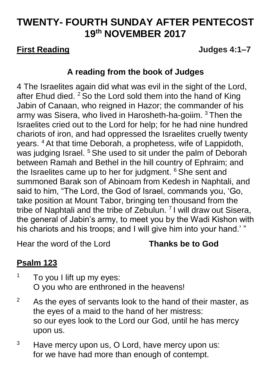# **TWENTY- FOURTH SUNDAY AFTER PENTECOST 19 th NOVEMBER 2017**

### **First Reading Judges 4:1–7**

## **A reading from the book of Judges**

4 The Israelites again did what was evil in the sight of the Lord, after Ehud died. <sup>2</sup> So the Lord sold them into the hand of King Jabin of Canaan, who reigned in Hazor; the commander of his army was Sisera, who lived in Harosheth-ha-goiim. <sup>3</sup> Then the Israelites cried out to the Lord for help; for he had nine hundred chariots of iron, and had oppressed the Israelites cruelly twenty years. <sup>4</sup> At that time Deborah, a prophetess, wife of Lappidoth, was judging Israel.<sup>5</sup> She used to sit under the palm of Deborah between Ramah and Bethel in the hill country of Ephraim; and the Israelites came up to her for judgment. <sup>6</sup> She sent and summoned Barak son of Abinoam from Kedesh in Naphtali, and said to him, "The Lord, the God of Israel, commands you, 'Go, take position at Mount Tabor, bringing ten thousand from the tribe of Naphtali and the tribe of Zebulun.  $7$  I will draw out Sisera, the general of Jabin's army, to meet you by the Wadi Kishon with his chariots and his troops; and I will give him into your hand.' "

Hear the word of the Lord **Thanks be to God**

## **Psalm 123**

- $1$  To you I lift up my eyes: O you who are enthroned in the heavens!
- $2^2$  As the eyes of servants look to the hand of their master, as the eyes of a maid to the hand of her mistress: so our eyes look to the Lord our God, until he has mercy upon us.
- <sup>3</sup> Have mercy upon us, O Lord, have mercy upon us: for we have had more than enough of contempt.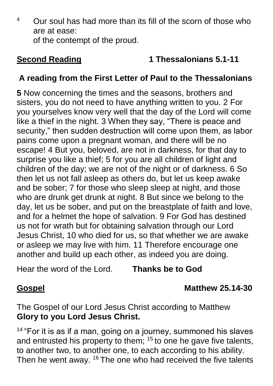<sup>4</sup> Our soul has had more than its fill of the scorn of those who are at ease: of the contempt of the proud.

## **Second Reading 1 Thessalonians 5.1-11**

## **A reading from the First Letter of Paul to the Thessalonians**

**5** Now concerning the times and the seasons, brothers and sisters, you do not need to have anything written to you. 2 For you yourselves know very well that the day of the Lord will come like a thief in the night. 3 When they say, "There is peace and security," then sudden destruction will come upon them, as labor pains come upon a pregnant woman, and there will be no escape! 4 But you, beloved, are not in darkness, for that day to surprise you like a thief; 5 for you are all children of light and children of the day; we are not of the night or of darkness. 6 So then let us not fall asleep as others do, but let us keep awake and be sober; 7 for those who sleep sleep at night, and those who are drunk get drunk at night. 8 But since we belong to the day, let us be sober, and put on the breastplate of faith and love, and for a helmet the hope of salvation. 9 For God has destined us not for wrath but for obtaining salvation through our Lord Jesus Christ, 10 who died for us, so that whether we are awake or asleep we may live with him. 11 Therefore encourage one another and build up each other, as indeed you are doing.

Hear the word of the Lord. **Thanks be to God**

## **Gospel Matthew 25.14-30**

The Gospel of our Lord Jesus Christ according to Matthew **Glory to you Lord Jesus Christ.**

 $14$  "For it is as if a man, going on a journey, summoned his slaves and entrusted his property to them; <sup>15</sup> to one he gave five talents, to another two, to another one, to each according to his ability. Then he went away. <sup>16</sup> The one who had received the five talents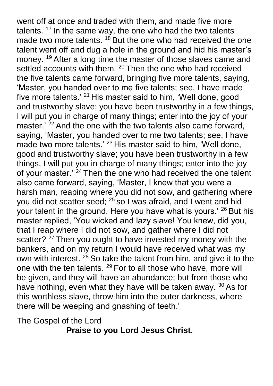went off at once and traded with them, and made five more talents.  $17$  In the same way, the one who had the two talents made two more talents. <sup>18</sup> But the one who had received the one talent went off and dug a hole in the ground and hid his master's money. <sup>19</sup> After a long time the master of those slaves came and settled accounts with them. <sup>20</sup> Then the one who had received the five talents came forward, bringing five more talents, saying, 'Master, you handed over to me five talents; see, I have made five more talents.' <sup>21</sup> His master said to him, 'Well done, good and trustworthy slave; you have been trustworthy in a few things, I will put you in charge of many things; enter into the joy of your master.<sup>' 22</sup> And the one with the two talents also came forward, saying, 'Master, you handed over to me two talents; see, I have made two more talents.' <sup>23</sup> His master said to him, 'Well done, good and trustworthy slave; you have been trustworthy in a few things, I will put you in charge of many things; enter into the joy of your master.' <sup>24</sup> Then the one who had received the one talent also came forward, saying, 'Master, I knew that you were a harsh man, reaping where you did not sow, and gathering where you did not scatter seed; <sup>25</sup> so I was afraid, and I went and hid your talent in the ground. Here you have what is yours.' <sup>26</sup> But his master replied, 'You wicked and lazy slave! You knew, did you, that I reap where I did not sow, and gather where I did not scatter? <sup>27</sup> Then you ought to have invested my money with the bankers, and on my return I would have received what was my own with interest. <sup>28</sup> So take the talent from him, and give it to the one with the ten talents. <sup>29</sup> For to all those who have, more will be given, and they will have an abundance; but from those who have nothing, even what they have will be taken away. <sup>30</sup> As for this worthless slave, throw him into the outer darkness, where there will be weeping and gnashing of teeth.'

The Gospel of the Lord

**Praise to you Lord Jesus Christ.**